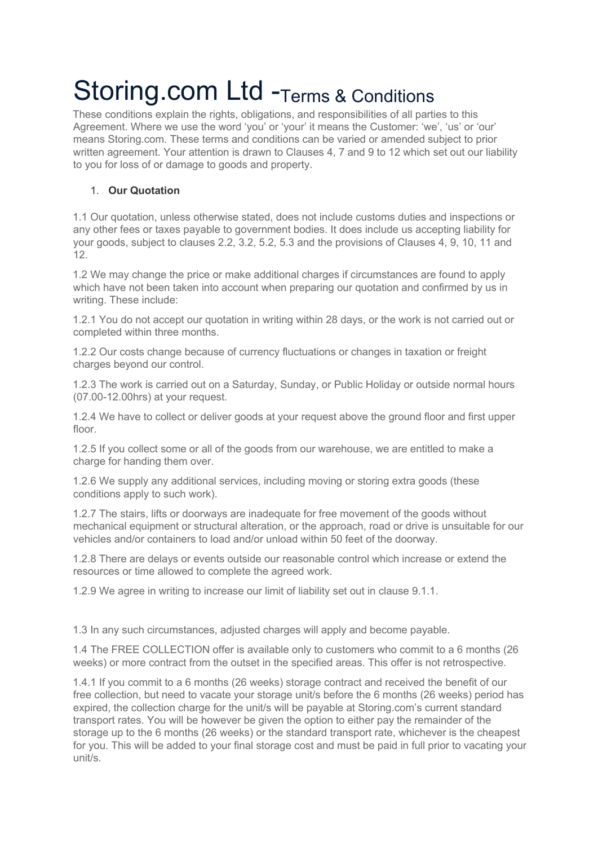# Storing.com Ltd -Terms & Conditions

These conditions explain the rights, obligations, and responsibilities of all parties to this Agreement. Where we use the word 'you' or 'your' it means the Customer: 'we', 'us' or 'our' means Storing.com. These terms and conditions can be varied or amended subject to prior written agreement. Your attention is drawn to Clauses 4, 7 and 9 to 12 which set out our liability to you for loss of or damage to goods and property.

## 1. **Our Quotation**

1.1 Our quotation, unless otherwise stated, does not include customs duties and inspections or any other fees or taxes payable to government bodies. It does include us accepting liability for your goods, subject to clauses 2.2, 3.2, 5.2, 5.3 and the provisions of Clauses 4, 9, 10, 11 and 12.

1.2 We may change the price or make additional charges if circumstances are found to apply which have not been taken into account when preparing our quotation and confirmed by us in writing. These include:

1.2.1 You do not accept our quotation in writing within 28 days, or the work is not carried out or completed within three months.

1.2.2 Our costs change because of currency fluctuations or changes in taxation or freight charges beyond our control.

1.2.3 The work is carried out on a Saturday, Sunday, or Public Holiday or outside normal hours (07.00-12.00hrs) at your request.

1.2.4 We have to collect or deliver goods at your request above the ground floor and first upper floor.

1.2.5 If you collect some or all of the goods from our warehouse, we are entitled to make a charge for handing them over.

1.2.6 We supply any additional services, including moving or storing extra goods (these conditions apply to such work).

1.2.7 The stairs, lifts or doorways are inadequate for free movement of the goods without mechanical equipment or structural alteration, or the approach, road or drive is unsuitable for our vehicles and/or containers to load and/or unload within 50 feet of the doorway.

1.2.8 There are delays or events outside our reasonable control which increase or extend the resources or time allowed to complete the agreed work.

1.2.9 We agree in writing to increase our limit of liability set out in clause 9.1.1.

1.3 In any such circumstances, adjusted charges will apply and become payable.

1.4 The FREE COLLECTION offer is available only to customers who commit to a 6 months (26 weeks) or more contract from the outset in the specified areas. This offer is not retrospective.

1.4.1 If you commit to a 6 months (26 weeks) storage contract and received the benefit of our free collection, but need to vacate your storage unit/s before the 6 months (26 weeks) period has expired, the collection charge for the unit/s will be payable at Storing.com's current standard transport rates. You will be however be given the option to either pay the remainder of the storage up to the 6 months (26 weeks) or the standard transport rate, whichever is the cheapest for you. This will be added to your final storage cost and must be paid in full prior to vacating your unit/s.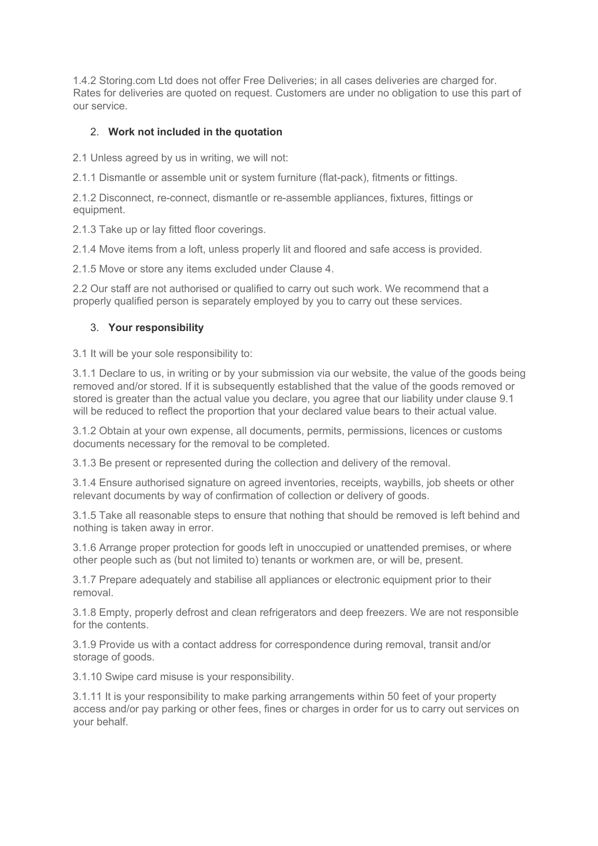1.4.2 Storing.com Ltd does not offer Free Deliveries; in all cases deliveries are charged for. Rates for deliveries are quoted on request. Customers are under no obligation to use this part of our service.

## 2. **Work not included in the quotation**

2.1 Unless agreed by us in writing, we will not:

2.1.1 Dismantle or assemble unit or system furniture (flat-pack), fitments or fittings.

2.1.2 Disconnect, re-connect, dismantle or re-assemble appliances, fixtures, fittings or equipment.

2.1.3 Take up or lay fitted floor coverings.

2.1.4 Move items from a loft, unless properly lit and floored and safe access is provided.

2.1.5 Move or store any items excluded under Clause 4.

2.2 Our staff are not authorised or qualified to carry out such work. We recommend that a properly qualified person is separately employed by you to carry out these services.

#### 3. **Your responsibility**

3.1 It will be your sole responsibility to:

3.1.1 Declare to us, in writing or by your submission via our website, the value of the goods being removed and/or stored. If it is subsequently established that the value of the goods removed or stored is greater than the actual value you declare, you agree that our liability under clause 9.1 will be reduced to reflect the proportion that your declared value bears to their actual value.

3.1.2 Obtain at your own expense, all documents, permits, permissions, licences or customs documents necessary for the removal to be completed.

3.1.3 Be present or represented during the collection and delivery of the removal.

3.1.4 Ensure authorised signature on agreed inventories, receipts, waybills, job sheets or other relevant documents by way of confirmation of collection or delivery of goods.

3.1.5 Take all reasonable steps to ensure that nothing that should be removed is left behind and nothing is taken away in error.

3.1.6 Arrange proper protection for goods left in unoccupied or unattended premises, or where other people such as (but not limited to) tenants or workmen are, or will be, present.

3.1.7 Prepare adequately and stabilise all appliances or electronic equipment prior to their removal.

3.1.8 Empty, properly defrost and clean refrigerators and deep freezers. We are not responsible for the contents.

3.1.9 Provide us with a contact address for correspondence during removal, transit and/or storage of goods.

3.1.10 Swipe card misuse is your responsibility.

3.1.11 It is your responsibility to make parking arrangements within 50 feet of your property access and/or pay parking or other fees, fines or charges in order for us to carry out services on your behalf.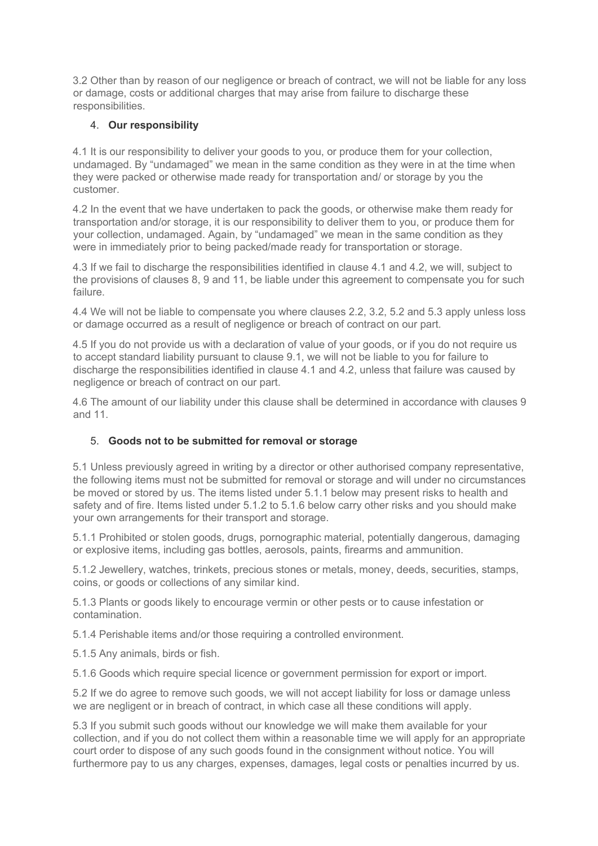3.2 Other than by reason of our negligence or breach of contract, we will not be liable for any loss or damage, costs or additional charges that may arise from failure to discharge these responsibilities.

## 4. **Our responsibility**

4.1 It is our responsibility to deliver your goods to you, or produce them for your collection, undamaged. By "undamaged" we mean in the same condition as they were in at the time when they were packed or otherwise made ready for transportation and/ or storage by you the customer.

4.2 In the event that we have undertaken to pack the goods, or otherwise make them ready for transportation and/or storage, it is our responsibility to deliver them to you, or produce them for your collection, undamaged. Again, by "undamaged" we mean in the same condition as they were in immediately prior to being packed/made ready for transportation or storage.

4.3 If we fail to discharge the responsibilities identified in clause 4.1 and 4.2, we will, subject to the provisions of clauses 8, 9 and 11, be liable under this agreement to compensate you for such failure.

4.4 We will not be liable to compensate you where clauses 2.2, 3.2, 5.2 and 5.3 apply unless loss or damage occurred as a result of negligence or breach of contract on our part.

4.5 If you do not provide us with a declaration of value of your goods, or if you do not require us to accept standard liability pursuant to clause 9.1, we will not be liable to you for failure to discharge the responsibilities identified in clause 4.1 and 4.2, unless that failure was caused by negligence or breach of contract on our part.

4.6 The amount of our liability under this clause shall be determined in accordance with clauses 9 and 11.

## 5. **Goods not to be submitted for removal or storage**

5.1 Unless previously agreed in writing by a director or other authorised company representative, the following items must not be submitted for removal or storage and will under no circumstances be moved or stored by us. The items listed under 5.1.1 below may present risks to health and safety and of fire. Items listed under 5.1.2 to 5.1.6 below carry other risks and you should make your own arrangements for their transport and storage.

5.1.1 Prohibited or stolen goods, drugs, pornographic material, potentially dangerous, damaging or explosive items, including gas bottles, aerosols, paints, firearms and ammunition.

5.1.2 Jewellery, watches, trinkets, precious stones or metals, money, deeds, securities, stamps, coins, or goods or collections of any similar kind.

5.1.3 Plants or goods likely to encourage vermin or other pests or to cause infestation or contamination.

5.1.4 Perishable items and/or those requiring a controlled environment.

5.1.5 Any animals, birds or fish.

5.1.6 Goods which require special licence or government permission for export or import.

5.2 If we do agree to remove such goods, we will not accept liability for loss or damage unless we are negligent or in breach of contract, in which case all these conditions will apply.

5.3 If you submit such goods without our knowledge we will make them available for your collection, and if you do not collect them within a reasonable time we will apply for an appropriate court order to dispose of any such goods found in the consignment without notice. You will furthermore pay to us any charges, expenses, damages, legal costs or penalties incurred by us.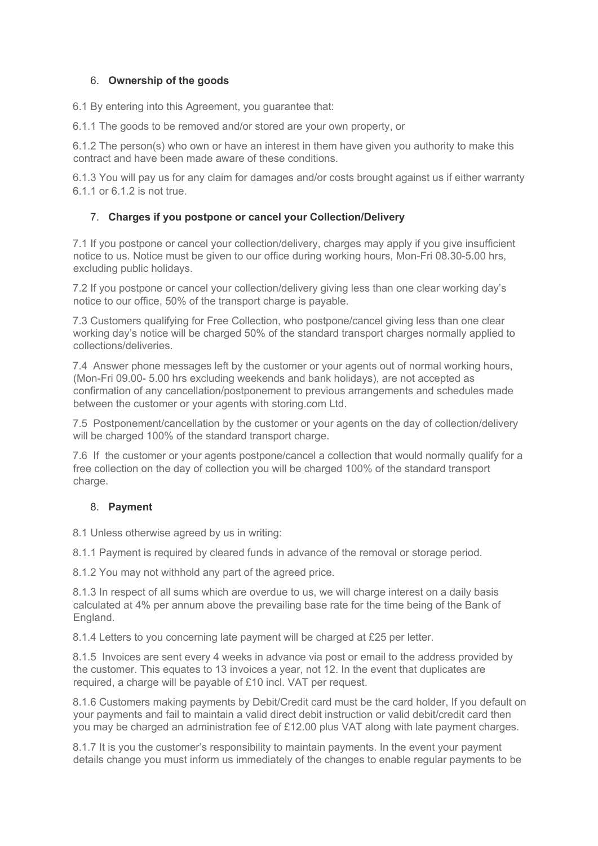## 6. **Ownership of the goods**

6.1 By entering into this Agreement, you guarantee that:

6.1.1 The goods to be removed and/or stored are your own property, or

6.1.2 The person(s) who own or have an interest in them have given you authority to make this contract and have been made aware of these conditions.

6.1.3 You will pay us for any claim for damages and/or costs brought against us if either warranty 6.1.1 or 6.1.2 is not true.

## 7. **Charges if you postpone or cancel your Collection/Delivery**

7.1 If you postpone or cancel your collection/delivery, charges may apply if you give insufficient notice to us. Notice must be given to our office during working hours, Mon-Fri 08.30-5.00 hrs, excluding public holidays.

7.2 If you postpone or cancel your collection/delivery giving less than one clear working day's notice to our office, 50% of the transport charge is payable.

7.3 Customers qualifying for Free Collection, who postpone/cancel giving less than one clear working day's notice will be charged 50% of the standard transport charges normally applied to collections/deliveries.

7.4 Answer phone messages left by the customer or your agents out of normal working hours, (Mon-Fri 09.00- 5.00 hrs excluding weekends and bank holidays), are not accepted as confirmation of any cancellation/postponement to previous arrangements and schedules made between the customer or your agents with storing.com Ltd.

7.5 Postponement/cancellation by the customer or your agents on the day of collection/delivery will be charged 100% of the standard transport charge.

7.6 If the customer or your agents postpone/cancel a collection that would normally qualify for a free collection on the day of collection you will be charged 100% of the standard transport charge.

## 8. **Payment**

8.1 Unless otherwise agreed by us in writing:

8.1.1 Payment is required by cleared funds in advance of the removal or storage period.

8.1.2 You may not withhold any part of the agreed price.

8.1.3 In respect of all sums which are overdue to us, we will charge interest on a daily basis calculated at 4% per annum above the prevailing base rate for the time being of the Bank of England.

8.1.4 Letters to you concerning late payment will be charged at £25 per letter.

8.1.5 Invoices are sent every 4 weeks in advance via post or email to the address provided by the customer. This equates to 13 invoices a year, not 12. In the event that duplicates are required, a charge will be payable of £10 incl. VAT per request.

8.1.6 Customers making payments by Debit/Credit card must be the card holder, If you default on your payments and fail to maintain a valid direct debit instruction or valid debit/credit card then you may be charged an administration fee of £12.00 plus VAT along with late payment charges.

8.1.7 It is you the customer's responsibility to maintain payments. In the event your payment details change you must inform us immediately of the changes to enable regular payments to be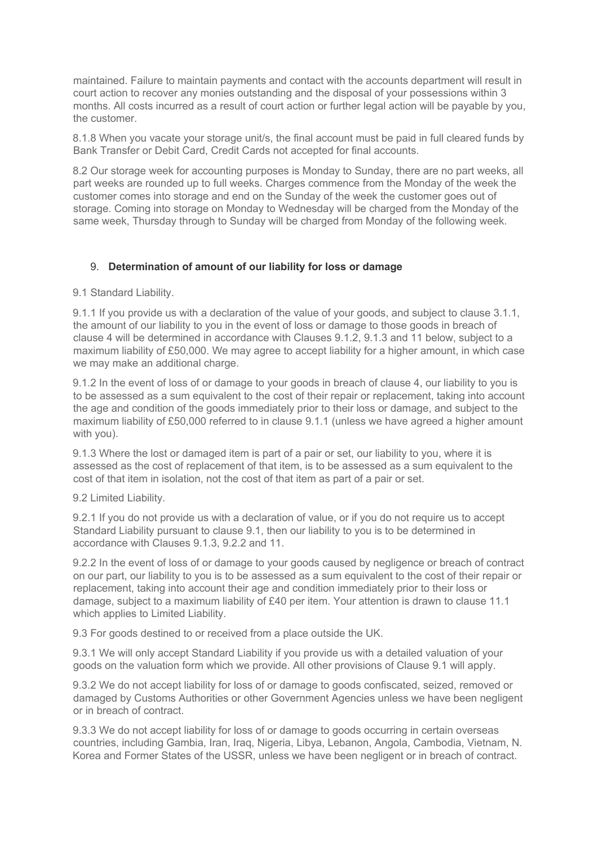maintained. Failure to maintain payments and contact with the accounts department will result in court action to recover any monies outstanding and the disposal of your possessions within 3 months. All costs incurred as a result of court action or further legal action will be payable by you, the customer.

8.1.8 When you vacate your storage unit/s, the final account must be paid in full cleared funds by Bank Transfer or Debit Card, Credit Cards not accepted for final accounts.

8.2 Our storage week for accounting purposes is Monday to Sunday, there are no part weeks, all part weeks are rounded up to full weeks. Charges commence from the Monday of the week the customer comes into storage and end on the Sunday of the week the customer goes out of storage. Coming into storage on Monday to Wednesday will be charged from the Monday of the same week, Thursday through to Sunday will be charged from Monday of the following week.

#### 9. **Determination of amount of our liability for loss or damage**

9.1 Standard Liability.

9.1.1 If you provide us with a declaration of the value of your goods, and subject to clause 3.1.1, the amount of our liability to you in the event of loss or damage to those goods in breach of clause 4 will be determined in accordance with Clauses 9.1.2, 9.1.3 and 11 below, subject to a maximum liability of £50,000. We may agree to accept liability for a higher amount, in which case we may make an additional charge.

9.1.2 In the event of loss of or damage to your goods in breach of clause 4, our liability to you is to be assessed as a sum equivalent to the cost of their repair or replacement, taking into account the age and condition of the goods immediately prior to their loss or damage, and subject to the maximum liability of £50,000 referred to in clause 9.1.1 (unless we have agreed a higher amount with you).

9.1.3 Where the lost or damaged item is part of a pair or set, our liability to you, where it is assessed as the cost of replacement of that item, is to be assessed as a sum equivalent to the cost of that item in isolation, not the cost of that item as part of a pair or set.

9.2 Limited Liability.

9.2.1 If you do not provide us with a declaration of value, or if you do not require us to accept Standard Liability pursuant to clause 9.1, then our liability to you is to be determined in accordance with Clauses 9.1.3, 9.2.2 and 11.

9.2.2 In the event of loss of or damage to your goods caused by negligence or breach of contract on our part, our liability to you is to be assessed as a sum equivalent to the cost of their repair or replacement, taking into account their age and condition immediately prior to their loss or damage, subject to a maximum liability of £40 per item. Your attention is drawn to clause 11.1 which applies to Limited Liability.

9.3 For goods destined to or received from a place outside the UK.

9.3.1 We will only accept Standard Liability if you provide us with a detailed valuation of your goods on the valuation form which we provide. All other provisions of Clause 9.1 will apply.

9.3.2 We do not accept liability for loss of or damage to goods confiscated, seized, removed or damaged by Customs Authorities or other Government Agencies unless we have been negligent or in breach of contract.

9.3.3 We do not accept liability for loss of or damage to goods occurring in certain overseas countries, including Gambia, Iran, Iraq, Nigeria, Libya, Lebanon, Angola, Cambodia, Vietnam, N. Korea and Former States of the USSR, unless we have been negligent or in breach of contract.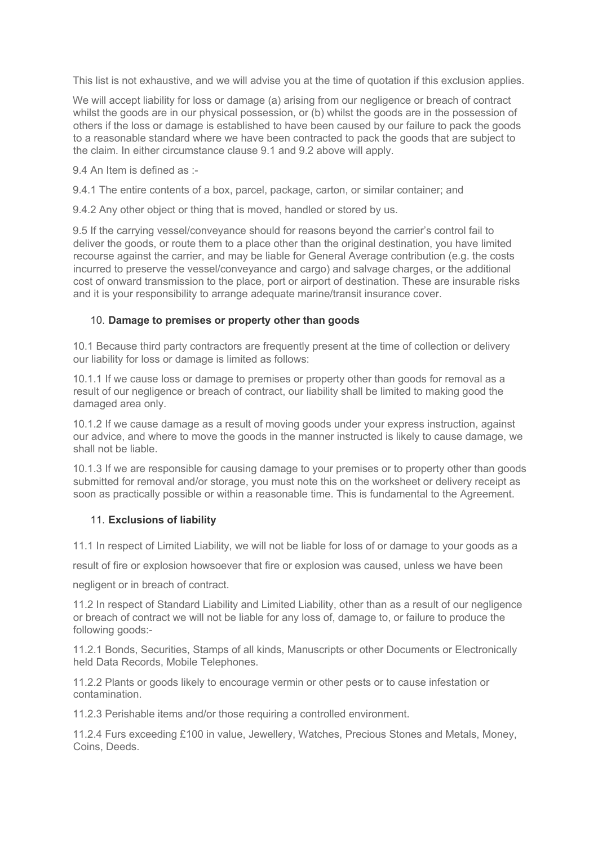This list is not exhaustive, and we will advise you at the time of quotation if this exclusion applies.

We will accept liability for loss or damage (a) arising from our negligence or breach of contract whilst the goods are in our physical possession, or (b) whilst the goods are in the possession of others if the loss or damage is established to have been caused by our failure to pack the goods to a reasonable standard where we have been contracted to pack the goods that are subject to the claim. In either circumstance clause 9.1 and 9.2 above will apply.

9.4 An Item is defined as :-

9.4.1 The entire contents of a box, parcel, package, carton, or similar container; and

9.4.2 Any other object or thing that is moved, handled or stored by us.

9.5 If the carrying vessel/conveyance should for reasons beyond the carrier's control fail to deliver the goods, or route them to a place other than the original destination, you have limited recourse against the carrier, and may be liable for General Average contribution (e.g. the costs incurred to preserve the vessel/conveyance and cargo) and salvage charges, or the additional cost of onward transmission to the place, port or airport of destination. These are insurable risks and it is your responsibility to arrange adequate marine/transit insurance cover.

#### 10. **Damage to premises or property other than goods**

10.1 Because third party contractors are frequently present at the time of collection or delivery our liability for loss or damage is limited as follows:

10.1.1 If we cause loss or damage to premises or property other than goods for removal as a result of our negligence or breach of contract, our liability shall be limited to making good the damaged area only.

10.1.2 If we cause damage as a result of moving goods under your express instruction, against our advice, and where to move the goods in the manner instructed is likely to cause damage, we shall not be liable.

10.1.3 If we are responsible for causing damage to your premises or to property other than goods submitted for removal and/or storage, you must note this on the worksheet or delivery receipt as soon as practically possible or within a reasonable time. This is fundamental to the Agreement.

#### 11. **Exclusions of liability**

11.1 In respect of Limited Liability, we will not be liable for loss of or damage to your goods as a

result of fire or explosion howsoever that fire or explosion was caused, unless we have been

negligent or in breach of contract.

11.2 In respect of Standard Liability and Limited Liability, other than as a result of our negligence or breach of contract we will not be liable for any loss of, damage to, or failure to produce the following goods:-

11.2.1 Bonds, Securities, Stamps of all kinds, Manuscripts or other Documents or Electronically held Data Records, Mobile Telephones.

11.2.2 Plants or goods likely to encourage vermin or other pests or to cause infestation or contamination.

11.2.3 Perishable items and/or those requiring a controlled environment.

11.2.4 Furs exceeding £100 in value, Jewellery, Watches, Precious Stones and Metals, Money, Coins, Deeds.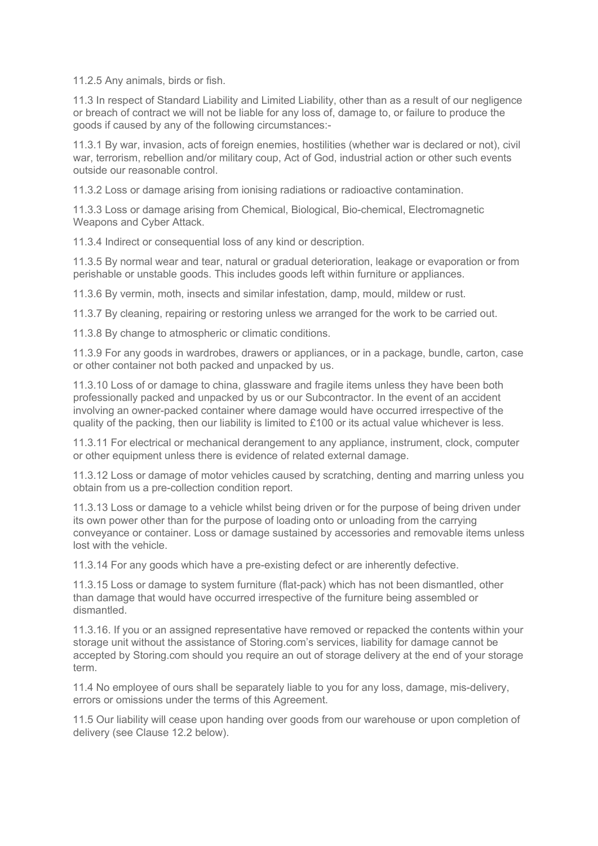11.2.5 Any animals, birds or fish.

11.3 In respect of Standard Liability and Limited Liability, other than as a result of our negligence or breach of contract we will not be liable for any loss of, damage to, or failure to produce the goods if caused by any of the following circumstances:-

11.3.1 By war, invasion, acts of foreign enemies, hostilities (whether war is declared or not), civil war, terrorism, rebellion and/or military coup, Act of God, industrial action or other such events outside our reasonable control.

11.3.2 Loss or damage arising from ionising radiations or radioactive contamination.

11.3.3 Loss or damage arising from Chemical, Biological, Bio-chemical, Electromagnetic Weapons and Cyber Attack.

11.3.4 Indirect or consequential loss of any kind or description.

11.3.5 By normal wear and tear, natural or gradual deterioration, leakage or evaporation or from perishable or unstable goods. This includes goods left within furniture or appliances.

11.3.6 By vermin, moth, insects and similar infestation, damp, mould, mildew or rust.

11.3.7 By cleaning, repairing or restoring unless we arranged for the work to be carried out.

11.3.8 By change to atmospheric or climatic conditions.

11.3.9 For any goods in wardrobes, drawers or appliances, or in a package, bundle, carton, case or other container not both packed and unpacked by us.

11.3.10 Loss of or damage to china, glassware and fragile items unless they have been both professionally packed and unpacked by us or our Subcontractor. In the event of an accident involving an owner-packed container where damage would have occurred irrespective of the quality of the packing, then our liability is limited to £100 or its actual value whichever is less.

11.3.11 For electrical or mechanical derangement to any appliance, instrument, clock, computer or other equipment unless there is evidence of related external damage.

11.3.12 Loss or damage of motor vehicles caused by scratching, denting and marring unless you obtain from us a pre-collection condition report.

11.3.13 Loss or damage to a vehicle whilst being driven or for the purpose of being driven under its own power other than for the purpose of loading onto or unloading from the carrying conveyance or container. Loss or damage sustained by accessories and removable items unless lost with the vehicle.

11.3.14 For any goods which have a pre-existing defect or are inherently defective.

11.3.15 Loss or damage to system furniture (flat-pack) which has not been dismantled, other than damage that would have occurred irrespective of the furniture being assembled or dismantled.

11.3.16. If you or an assigned representative have removed or repacked the contents within your storage unit without the assistance of Storing.com's services, liability for damage cannot be accepted by Storing.com should you require an out of storage delivery at the end of your storage term.

11.4 No employee of ours shall be separately liable to you for any loss, damage, mis-delivery, errors or omissions under the terms of this Agreement.

11.5 Our liability will cease upon handing over goods from our warehouse or upon completion of delivery (see Clause 12.2 below).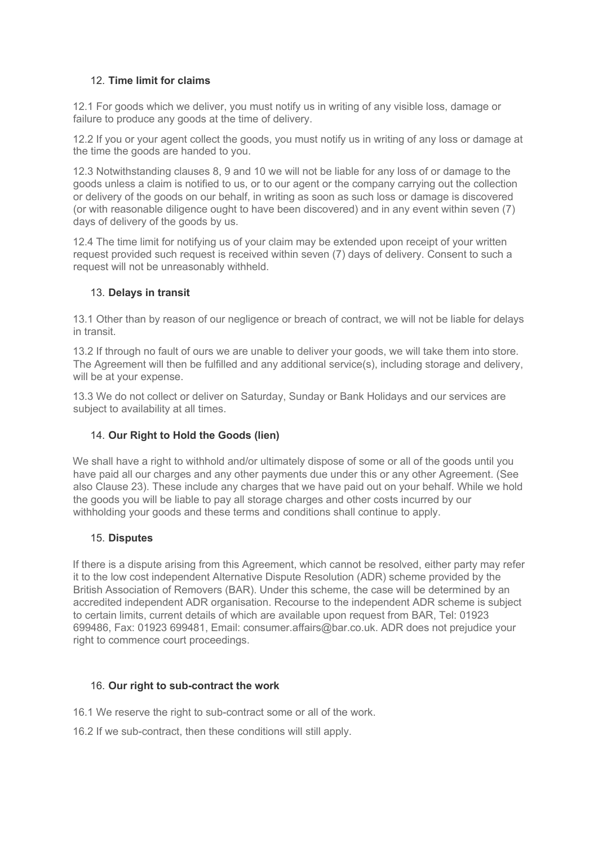## 12. **Time limit for claims**

12.1 For goods which we deliver, you must notify us in writing of any visible loss, damage or failure to produce any goods at the time of delivery.

12.2 If you or your agent collect the goods, you must notify us in writing of any loss or damage at the time the goods are handed to you.

12.3 Notwithstanding clauses 8, 9 and 10 we will not be liable for any loss of or damage to the goods unless a claim is notified to us, or to our agent or the company carrying out the collection or delivery of the goods on our behalf, in writing as soon as such loss or damage is discovered (or with reasonable diligence ought to have been discovered) and in any event within seven (7) days of delivery of the goods by us.

12.4 The time limit for notifying us of your claim may be extended upon receipt of your written request provided such request is received within seven (7) days of delivery. Consent to such a request will not be unreasonably withheld.

## 13. **Delays in transit**

13.1 Other than by reason of our negligence or breach of contract, we will not be liable for delays in transit.

13.2 If through no fault of ours we are unable to deliver your goods, we will take them into store. The Agreement will then be fulfilled and any additional service(s), including storage and delivery, will be at your expense.

13.3 We do not collect or deliver on Saturday, Sunday or Bank Holidays and our services are subject to availability at all times.

## 14. **Our Right to Hold the Goods (lien)**

We shall have a right to withhold and/or ultimately dispose of some or all of the goods until you have paid all our charges and any other payments due under this or any other Agreement. (See also Clause 23). These include any charges that we have paid out on your behalf. While we hold the goods you will be liable to pay all storage charges and other costs incurred by our withholding your goods and these terms and conditions shall continue to apply.

#### 15. **Disputes**

If there is a dispute arising from this Agreement, which cannot be resolved, either party may refer it to the low cost independent Alternative Dispute Resolution (ADR) scheme provided by the British Association of Removers (BAR). Under this scheme, the case will be determined by an accredited independent ADR organisation. Recourse to the independent ADR scheme is subject to certain limits, current details of which are available upon request from BAR, Tel: 01923 699486, Fax: 01923 699481, Email: consumer.affairs@bar.co.uk. ADR does not prejudice your right to commence court proceedings.

## 16. **Our right to sub-contract the work**

16.1 We reserve the right to sub-contract some or all of the work.

16.2 If we sub-contract, then these conditions will still apply.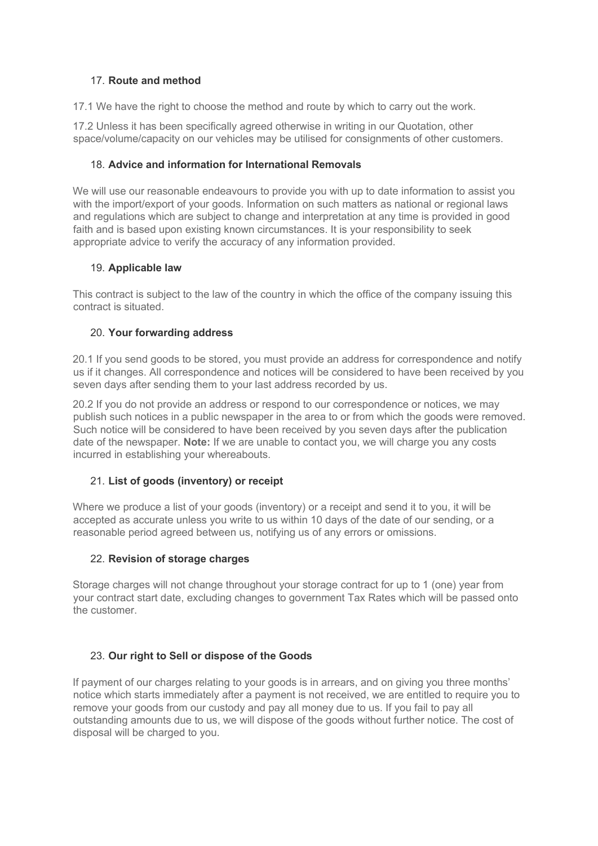## 17. **Route and method**

17.1 We have the right to choose the method and route by which to carry out the work.

17.2 Unless it has been specifically agreed otherwise in writing in our Quotation, other space/volume/capacity on our vehicles may be utilised for consignments of other customers.

## 18. **Advice and information for International Removals**

We will use our reasonable endeavours to provide you with up to date information to assist you with the import/export of your goods. Information on such matters as national or regional laws and regulations which are subject to change and interpretation at any time is provided in good faith and is based upon existing known circumstances. It is your responsibility to seek appropriate advice to verify the accuracy of any information provided.

## 19. **Applicable law**

This contract is subject to the law of the country in which the office of the company issuing this contract is situated.

## 20. **Your forwarding address**

20.1 If you send goods to be stored, you must provide an address for correspondence and notify us if it changes. All correspondence and notices will be considered to have been received by you seven days after sending them to your last address recorded by us.

20.2 If you do not provide an address or respond to our correspondence or notices, we may publish such notices in a public newspaper in the area to or from which the goods were removed. Such notice will be considered to have been received by you seven days after the publication date of the newspaper. **Note:** If we are unable to contact you, we will charge you any costs incurred in establishing your whereabouts.

## 21. **List of goods (inventory) or receipt**

Where we produce a list of your goods (inventory) or a receipt and send it to you, it will be accepted as accurate unless you write to us within 10 days of the date of our sending, or a reasonable period agreed between us, notifying us of any errors or omissions.

## 22. **Revision of storage charges**

Storage charges will not change throughout your storage contract for up to 1 (one) year from your contract start date, excluding changes to government Tax Rates which will be passed onto the customer.

## 23. **Our right to Sell or dispose of the Goods**

If payment of our charges relating to your goods is in arrears, and on giving you three months' notice which starts immediately after a payment is not received, we are entitled to require you to remove your goods from our custody and pay all money due to us. If you fail to pay all outstanding amounts due to us, we will dispose of the goods without further notice. The cost of disposal will be charged to you.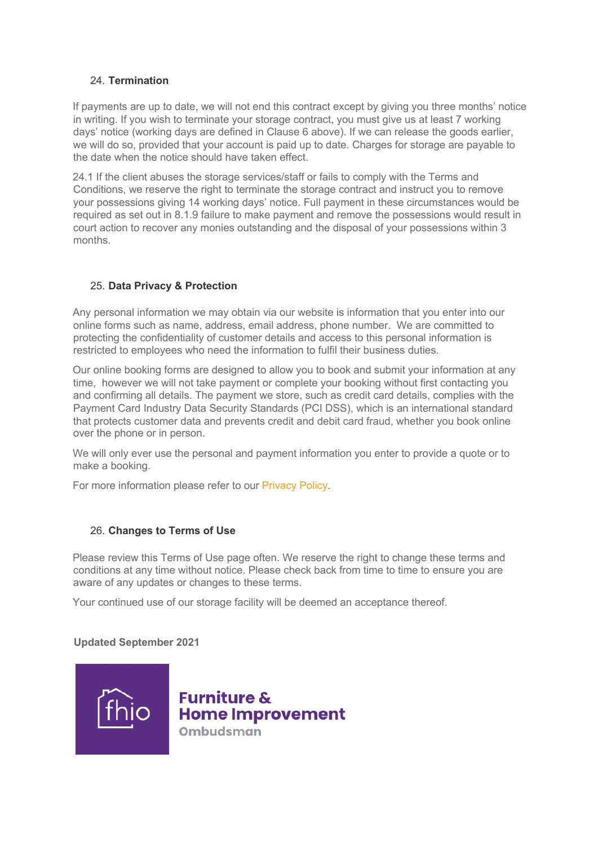### 24. **Termination**

If payments are up to date, we will not end this contract except by giving you three months' notice in writing. If you wish to terminate your storage contract, you must give us at least 7 working days' notice (working days are defined in Clause 6 above). If we can release the goods earlier, we will do so, provided that your account is paid up to date. Charges for storage are payable to the date when the notice should have taken effect.

24.1 If the client abuses the storage services/staff or fails to comply with the Terms and Conditions, we reserve the right to terminate the storage contract and instruct you to remove your possessions giving 14 working days' notice. Full payment in these circumstances would be required as set out in 8.1.9 failure to make payment and remove the possessions would result in court action to recover any monies outstanding and the disposal of your possessions within 3 months.

## 25. **Data Privacy & Protection**

Any personal information we may obtain via our website is information that you enter into our online forms such as name, address, email address, phone number. We are committed to protecting the confidentiality of customer details and access to this personal information is restricted to employees who need the information to fulfil their business duties.

Our online booking forms are designed to allow you to book and submit your information at any time, however we will not take payment or complete your booking without first contacting you and confirming all details. The payment we store, such as credit card details, complies with the Payment Card Industry Data Security Standards (PCI DSS), which is an international standard that protects customer data and prevents credit and debit card fraud, whether you book online over the phone or in person.

We will only ever use the personal and payment information you enter to provide a quote or to make a booking.

For more information please refer to our Privacy Policy.

## 26. **Changes to Terms of Use**

Please review this Terms of Use page often. We reserve the right to change these terms and conditions at any time without notice. Please check back from time to time to ensure you are aware of any updates or changes to these terms.

Your continued use of our storage facility will be deemed an acceptance thereof.

## **Updated September 2021**